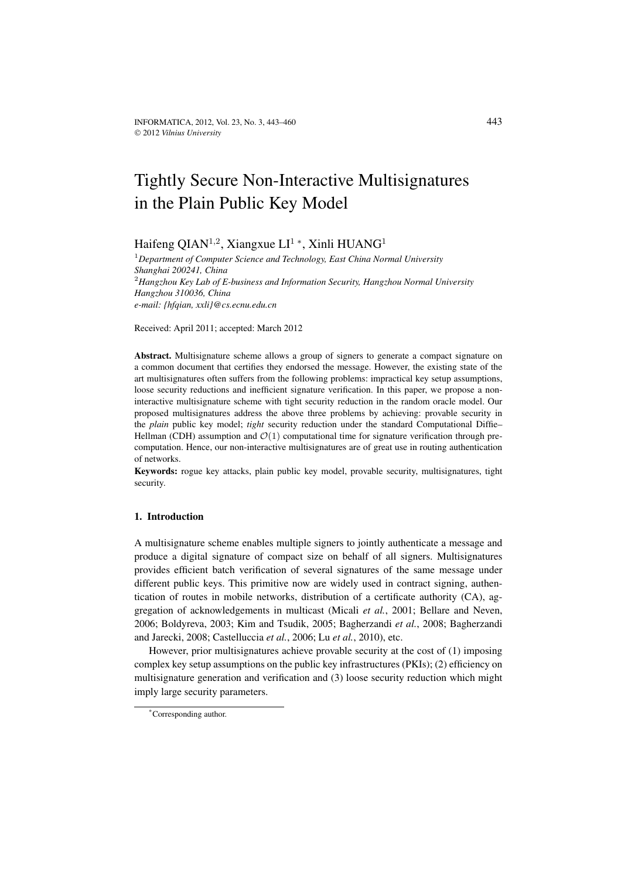# Tightly Secure Non-Interactive Multisignatures in the Plain Public Key Model

Haifeng QIAN<sup>1,2</sup>, Xiangxue LI<sup>1</sup><sup>\*</sup>, Xinli HUANG<sup>1</sup>

<sup>1</sup>*Department of Computer Science and Technology, East China Normal University Shanghai 200241, China* <sup>2</sup>*Hangzhou Key Lab of E-business and Information Security, Hangzhou Normal University Hangzhou 310036, China e-mail: {hfqian, xxli}@cs.ecnu.edu.cn*

Received: April 2011; accepted: March 2012

**Abstract.** Multisignature scheme allows a group of signers to generate a compact signature on a common document that certifies they endorsed the message. However, the existing state of the art multisignatures often suffers from the following problems: impractical key setup assumptions, loose security reductions and inefficient signature verification. In this paper, we propose a noninteractive multisignature scheme with tight security reduction in the random oracle model. Our proposed multisignatures address the above three problems by achieving: provable security in the *plain* public key model; *tight* security reduction under the standard Computational Diffie– Hellman (CDH) assumption and  $\mathcal{O}(1)$  computational time for signature verification through precomputation. Hence, our non-interactive multisignatures are of great use in routing authentication of networks.

**Keywords:** rogue key attacks, plain public key model, provable security, multisignatures, tight security.

# **1. Introduction**

A multisignature scheme enables multiple signers to jointly authenticate a message and produce a digital signature of compact size on behalf of all signers. Multisignatures provides efficient batch verification of several signatures of the same message under different public keys. This primitive now are widely used in contract signing, authentication of routes in mobile networks, distribution of a certificate authority (CA), aggregation of acknowledgements in multicast (Micali *et al.*, 2001; Bellare and Neven, 2006; Boldyreva, 2003; Kim and Tsudik, 2005; Bagherzandi *et al.*, 2008; Bagherzandi and Jarecki, 2008; Castelluccia *et al.*, 2006; Lu *et al.*, 2010), etc.

However, prior multisignatures achieve provable security at the cost of (1) imposing complex key setup assumptions on the public key infrastructures (PKIs); (2) efficiency on multisignature generation and verification and (3) loose security reduction which might imply large security parameters.

<sup>\*</sup>Corresponding author.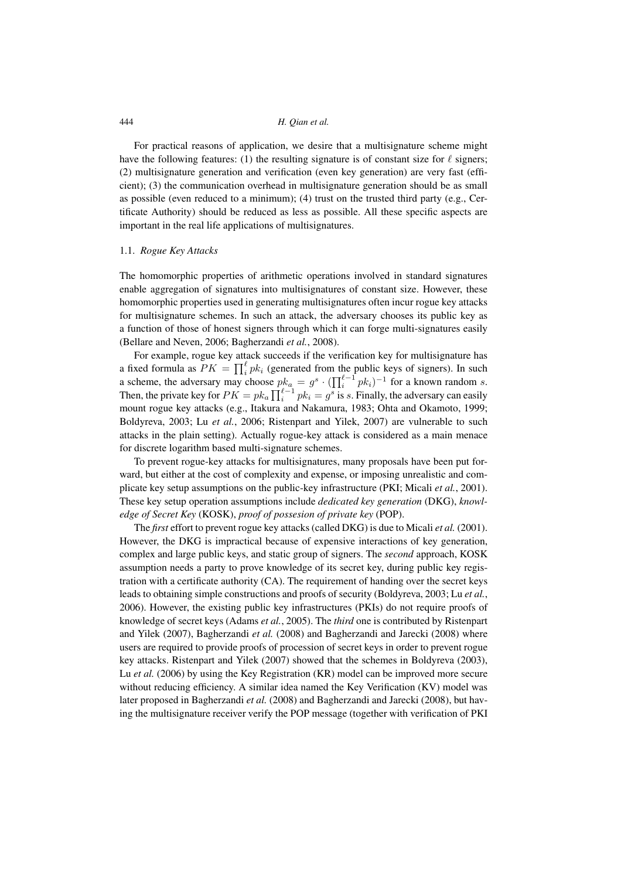For practical reasons of application, we desire that a multisignature scheme might have the following features: (1) the resulting signature is of constant size for  $\ell$  signers; (2) multisignature generation and verification (even key generation) are very fast (efficient); (3) the communication overhead in multisignature generation should be as small as possible (even reduced to a minimum); (4) trust on the trusted third party (e.g., Certificate Authority) should be reduced as less as possible. All these specific aspects are important in the real life applications of multisignatures.

# 1.1. *Rogue Key Attacks*

The homomorphic properties of arithmetic operations involved in standard signatures enable aggregation of signatures into multisignatures of constant size. However, these homomorphic properties used in generating multisignatures often incur rogue key attacks for multisignature schemes. In such an attack, the adversary chooses its public key as a function of those of honest signers through which it can forge multi-signatures easily (Bellare and Neven, 2006; Bagherzandi *et al.*, 2008).

For example, rogue key attack succeeds if the verification key for multisignature has a fixed formula as  $PK = \prod_{i}^{l} pk_i$  (generated from the public keys of signers). In such a scheme, the adversary may choose  $p_{k_a}^k = g^s \cdot (\prod_i^{\ell-1} p_{k_i})^{-1}$  for a known random s. Then, the private key for  $PK = pk_a \prod_i^{\ell-1} pk_i = g^s$  is s. Finally, the adversary can easily mount rogue key attacks (e.g., Itakura and Nakamura, 1983; Ohta and Okamoto, 1999; Boldyreva, 2003; Lu *et al.*, 2006; Ristenpart and Yilek, 2007) are vulnerable to such attacks in the plain setting). Actually rogue-key attack is considered as a main menace for discrete logarithm based multi-signature schemes.

To prevent rogue-key attacks for multisignatures, many proposals have been put forward, but either at the cost of complexity and expense, or imposing unrealistic and complicate key setup assumptions on the public-key infrastructure (PKI; Micali *et al.*, 2001). These key setup operation assumptions include *dedicated key generation* (DKG), *knowledge of Secret Key* (KOSK), *proof of possesion of private key* (POP).

The *first* effort to prevent rogue key attacks (called DKG) is due to Micali *et al.* (2001). However, the DKG is impractical because of expensive interactions of key generation, complex and large public keys, and static group of signers. The *second* approach, KOSK assumption needs a party to prove knowledge of its secret key, during public key registration with a certificate authority (CA). The requirement of handing over the secret keys leads to obtaining simple constructions and proofs of security (Boldyreva, 2003; Lu *et al.*, 2006). However, the existing public key infrastructures (PKIs) do not require proofs of knowledge of secret keys (Adams *et al.*, 2005). The *third* one is contributed by Ristenpart and Yilek (2007), Bagherzandi *et al.* (2008) and Bagherzandi and Jarecki (2008) where users are required to provide proofs of procession of secret keys in order to prevent rogue key attacks. Ristenpart and Yilek (2007) showed that the schemes in Boldyreva (2003), Lu *et al.* (2006) by using the Key Registration (KR) model can be improved more secure without reducing efficiency. A similar idea named the Key Verification (KV) model was later proposed in Bagherzandi *et al.* (2008) and Bagherzandi and Jarecki (2008), but having the multisignature receiver verify the POP message (together with verification of PKI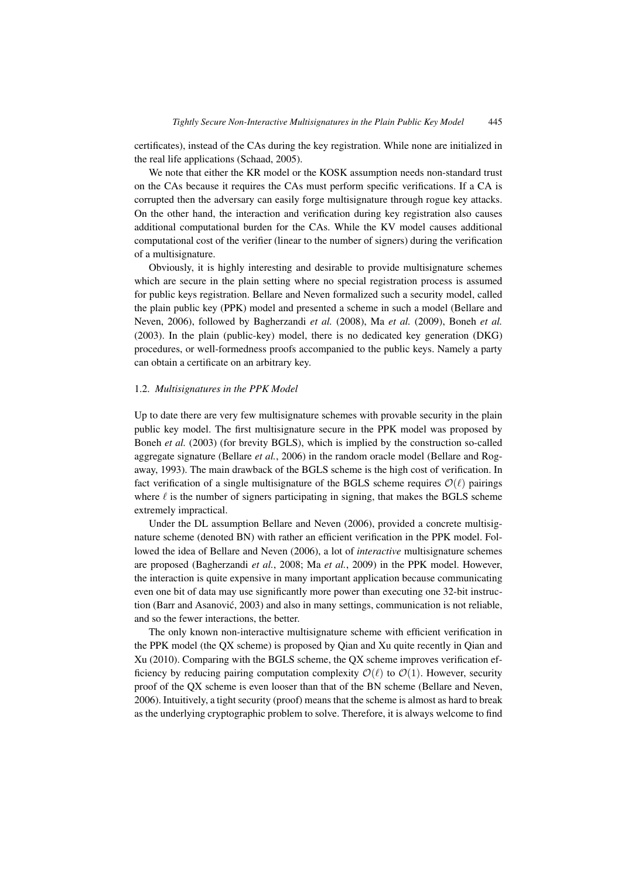certificates), instead of the CAs during the key registration. While none are initialized in the real life applications (Schaad, 2005).

We note that either the KR model or the KOSK assumption needs non-standard trust on the CAs because it requires the CAs must perform specific verifications. If a CA is corrupted then the adversary can easily forge multisignature through rogue key attacks. On the other hand, the interaction and verification during key registration also causes additional computational burden for the CAs. While the KV model causes additional computational cost of the verifier (linear to the number of signers) during the verification of a multisignature.

Obviously, it is highly interesting and desirable to provide multisignature schemes which are secure in the plain setting where no special registration process is assumed for public keys registration. Bellare and Neven formalized such a security model, called the plain public key (PPK) model and presented a scheme in such a model (Bellare and Neven, 2006), followed by Bagherzandi *et al.* (2008), Ma *et al.* (2009), Boneh *et al.* (2003). In the plain (public-key) model, there is no dedicated key generation (DKG) procedures, or well-formedness proofs accompanied to the public keys. Namely a party can obtain a certificate on an arbitrary key.

#### 1.2. *Multisignatures in the PPK Model*

Up to date there are very few multisignature schemes with provable security in the plain public key model. The first multisignature secure in the PPK model was proposed by Boneh *et al.* (2003) (for brevity BGLS), which is implied by the construction so-called aggregate signature (Bellare *et al.*, 2006) in the random oracle model (Bellare and Rogaway, 1993). The main drawback of the BGLS scheme is the high cost of verification. In fact verification of a single multisignature of the BGLS scheme requires  $\mathcal{O}(\ell)$  pairings where  $\ell$  is the number of signers participating in signing, that makes the BGLS scheme extremely impractical.

Under the DL assumption Bellare and Neven (2006), provided a concrete multisignature scheme (denoted BN) with rather an efficient verification in the PPK model. Followed the idea of Bellare and Neven (2006), a lot of *interactive* multisignature schemes are proposed (Bagherzandi *et al.*, 2008; Ma *et al.*, 2009) in the PPK model. However, the interaction is quite expensive in many important application because communicating even one bit of data may use significantly more power than executing one 32-bit instruction (Barr and Asanovic, 2003) and also in many settings, communication is not reliable, ´ and so the fewer interactions, the better.

The only known non-interactive multisignature scheme with efficient verification in the PPK model (the QX scheme) is proposed by Qian and Xu quite recently in Qian and Xu (2010). Comparing with the BGLS scheme, the QX scheme improves verification efficiency by reducing pairing computation complexity  $\mathcal{O}(\ell)$  to  $\mathcal{O}(1)$ . However, security proof of the QX scheme is even looser than that of the BN scheme (Bellare and Neven, 2006). Intuitively, a tight security (proof) means that the scheme is almost as hard to break as the underlying cryptographic problem to solve. Therefore, it is always welcome to find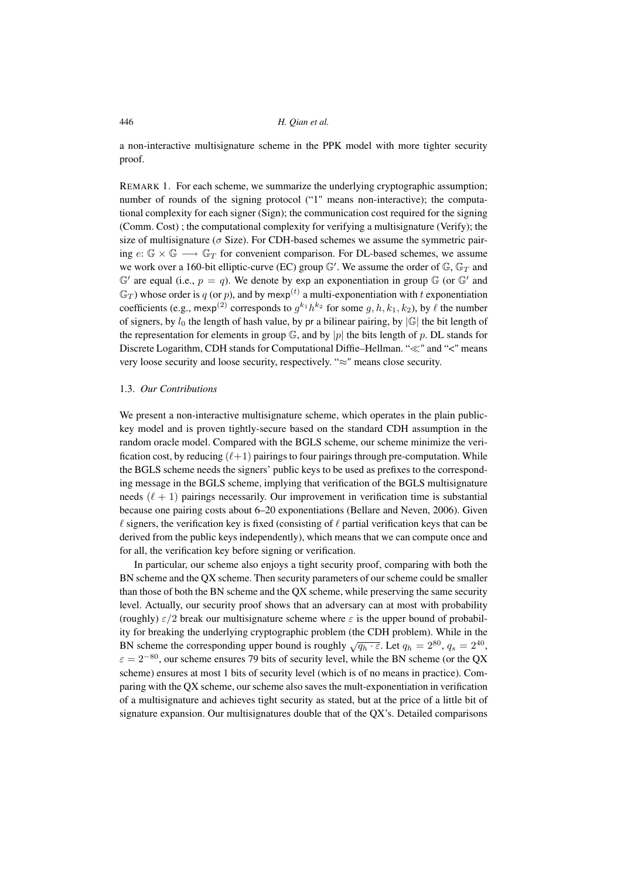a non-interactive multisignature scheme in the PPK model with more tighter security proof.

REMARK 1. For each scheme, we summarize the underlying cryptographic assumption; number of rounds of the signing protocol ("1" means non-interactive); the computational complexity for each signer (Sign); the communication cost required for the signing (Comm. Cost) ; the computational complexity for verifying a multisignature (Verify); the size of multisignature ( $\sigma$  Size). For CDH-based schemes we assume the symmetric pairing  $e: \mathbb{G} \times \mathbb{G} \longrightarrow \mathbb{G}_T$  for convenient comparison. For DL-based schemes, we assume we work over a 160-bit elliptic-curve (EC) group  $\mathbb{G}'$ . We assume the order of  $\mathbb{G}$ ,  $\mathbb{G}_T$  and  $\mathbb{G}'$  are equal (i.e.,  $p = q$ ). We denote by exp an exponentiation in group  $\mathbb{G}$  (or  $\mathbb{G}'$  and  $\mathbb{G}_T$ ) whose order is q (or p), and by mexp<sup>(t)</sup> a multi-exponentiation with t exponentiation coefficients (e.g., mexp<sup>(2)</sup> corresponds to  $g^{k_1}h^{k_2}$  for some  $g, h, k_1, k_2$ ), by  $\ell$  the number of signers, by  $l_0$  the length of hash value, by pr a bilinear pairing, by  $|\mathbb{G}|$  the bit length of the representation for elements in group  $\mathbb{G}$ , and by |p| the bits length of p. DL stands for Discrete Logarithm, CDH stands for Computational Diffie–Hellman. " $\ll$ " and " $\lt$ " means very loose security and loose security, respectively. "≈" means close security.

# 1.3. *Our Contributions*

We present a non-interactive multisignature scheme, which operates in the plain publickey model and is proven tightly-secure based on the standard CDH assumption in the random oracle model. Compared with the BGLS scheme, our scheme minimize the verification cost, by reducing  $(\ell+1)$  pairings to four pairings through pre-computation. While the BGLS scheme needs the signers' public keys to be used as prefixes to the corresponding message in the BGLS scheme, implying that verification of the BGLS multisignature needs  $(\ell + 1)$  pairings necessarily. Our improvement in verification time is substantial because one pairing costs about 6–20 exponentiations (Bellare and Neven, 2006). Given  $\ell$  signers, the verification key is fixed (consisting of  $\ell$  partial verification keys that can be derived from the public keys independently), which means that we can compute once and for all, the verification key before signing or verification.

In particular, our scheme also enjoys a tight security proof, comparing with both the BN scheme and the QX scheme. Then security parameters of our scheme could be smaller than those of both the BN scheme and the QX scheme, while preserving the same security level. Actually, our security proof shows that an adversary can at most with probability (roughly)  $\varepsilon/2$  break our multisignature scheme where  $\varepsilon$  is the upper bound of probability for breaking the underlying cryptographic problem (the CDH problem). While in the BN scheme the corresponding upper bound is roughly  $\sqrt{q_h \cdot \varepsilon}$ . Let  $q_h = 2^{80}$ ,  $q_s = 2^{40}$ ,  $\varepsilon = 2^{-80}$ , our scheme ensures 79 bits of security level, while the BN scheme (or the QX scheme) ensures at most 1 bits of security level (which is of no means in practice). Comparing with the QX scheme, our scheme also saves the mult-exponentiation in verification of a multisignature and achieves tight security as stated, but at the price of a little bit of signature expansion. Our multisignatures double that of the QX's. Detailed comparisons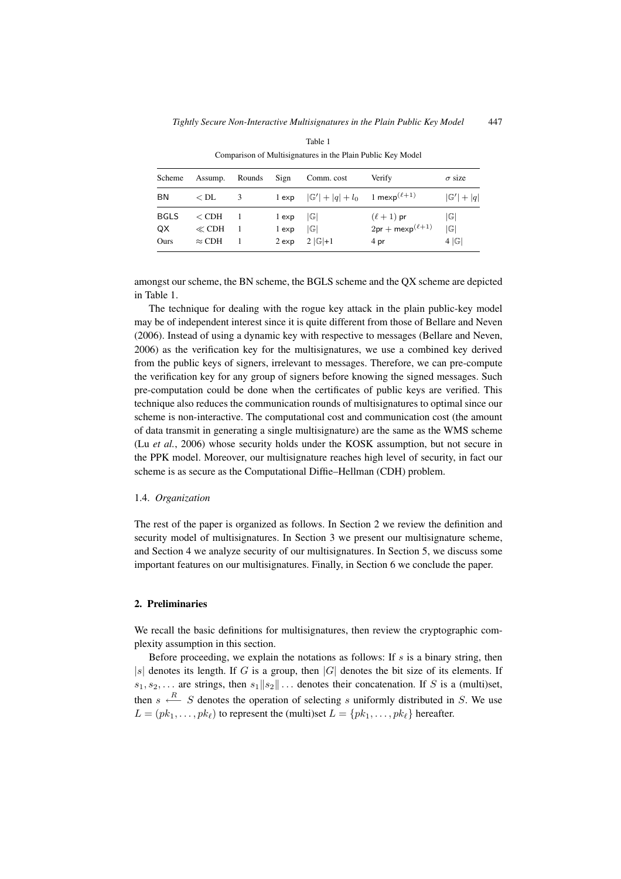| Scheme            | Assump.                  | Rounds | Sign           | Comm. cost                                                                | Verify                                   | $\sigma$ size                    |
|-------------------|--------------------------|--------|----------------|---------------------------------------------------------------------------|------------------------------------------|----------------------------------|
| ΒN                | $<$ DL                   | 3      |                | 1 exp $ \mathbb{G}'  +  q  + l_0$ 1 mexp <sup>(<math>\ell+1</math>)</sup> |                                          | $ \mathbb{G}' + q $              |
| <b>BGLS</b><br>QX | $\rm <$ CDH<br>$\ll$ CDH |        | 1 exp<br>1 exp | G <br> G                                                                  | $(\ell+1)$ pr<br>$2pr + mexp^{(\ell+1)}$ | $ \mathbb{G} $<br>$ \mathbb{G} $ |
| Ours              | $\approx$ CDH            |        | $2 \exp$       | $2  G  + 1$                                                               | 4 pr                                     | 4 G                              |

Table 1 Comparison of Multisignatures in the Plain Public Key Model

amongst our scheme, the BN scheme, the BGLS scheme and the QX scheme are depicted in Table 1.

The technique for dealing with the rogue key attack in the plain public-key model may be of independent interest since it is quite different from those of Bellare and Neven (2006). Instead of using a dynamic key with respective to messages (Bellare and Neven, 2006) as the verification key for the multisignatures, we use a combined key derived from the public keys of signers, irrelevant to messages. Therefore, we can pre-compute the verification key for any group of signers before knowing the signed messages. Such pre-computation could be done when the certificates of public keys are verified. This technique also reduces the communication rounds of multisignatures to optimal since our scheme is non-interactive. The computational cost and communication cost (the amount of data transmit in generating a single multisignature) are the same as the WMS scheme (Lu *et al.*, 2006) whose security holds under the KOSK assumption, but not secure in the PPK model. Moreover, our multisignature reaches high level of security, in fact our scheme is as secure as the Computational Diffie–Hellman (CDH) problem.

# 1.4. *Organization*

The rest of the paper is organized as follows. In Section 2 we review the definition and security model of multisignatures. In Section 3 we present our multisignature scheme, and Section 4 we analyze security of our multisignatures. In Section 5, we discuss some important features on our multisignatures. Finally, in Section 6 we conclude the paper.

# **2. Preliminaries**

We recall the basic definitions for multisignatures, then review the cryptographic complexity assumption in this section.

Before proceeding, we explain the notations as follows: If  $s$  is a binary string, then |s| denotes its length. If G is a group, then |G| denotes the bit size of its elements. If  $s_1, s_2,...$  are strings, then  $s_1||s_2||...$  denotes their concatenation. If S is a (multi)set, then  $s \stackrel{R}{\longleftarrow} S$  denotes the operation of selecting s uniformly distributed in S. We use  $L = (pk_1, \ldots, pk_\ell)$  to represent the (multi)set  $L = \{pk_1, \ldots, pk_\ell\}$  hereafter.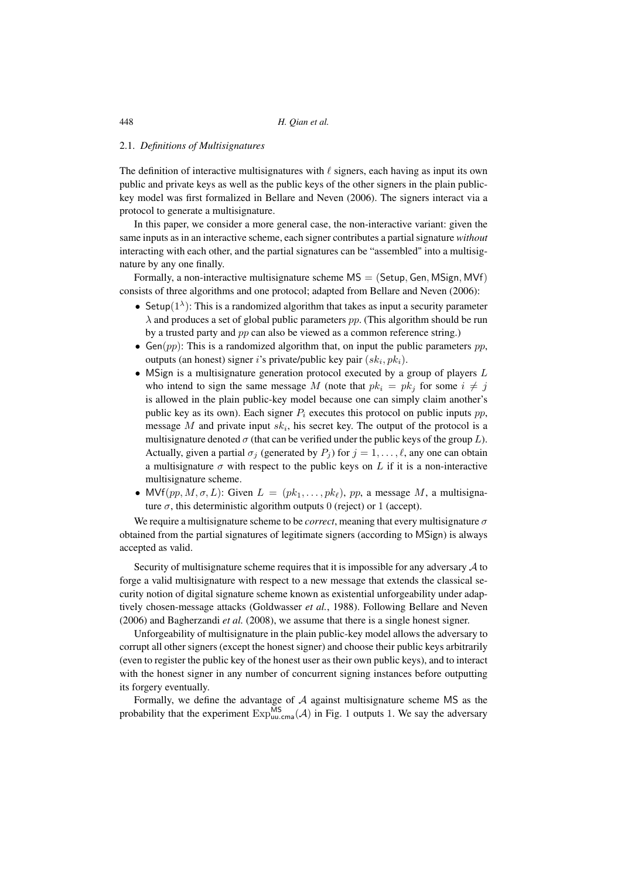#### 2.1. *Definitions of Multisignatures*

The definition of interactive multisignatures with  $\ell$  signers, each having as input its own public and private keys as well as the public keys of the other signers in the plain publickey model was first formalized in Bellare and Neven (2006). The signers interact via a protocol to generate a multisignature.

In this paper, we consider a more general case, the non-interactive variant: given the same inputs as in an interactive scheme, each signer contributes a partial signature *without* interacting with each other, and the partial signatures can be "assembled" into a multisignature by any one finally.

Formally, a non-interactive multisignature scheme  $MS = (Setup, Gen, MSign, MVf)$ consists of three algorithms and one protocol; adapted from Bellare and Neven (2006):

- Setup( $1^{\lambda}$ ): This is a randomized algorithm that takes as input a security parameter  $\lambda$  and produces a set of global public parameters pp. (This algorithm should be run by a trusted party and pp can also be viewed as a common reference string.)
- Gen(pp): This is a randomized algorithm that, on input the public parameters  $pp$ , outputs (an honest) signer i's private/public key pair  $(sk<sub>i</sub>, pk<sub>i</sub>$ ).
- MSign is a multisignature generation protocol executed by a group of players  $L$ who intend to sign the same message M (note that  $pk_i = pk_j$  for some  $i \neq j$ is allowed in the plain public-key model because one can simply claim another's public key as its own). Each signer  $P_i$  executes this protocol on public inputs  $pp$ , message M and private input  $sk_i$ , his secret key. The output of the protocol is a multisignature denoted  $\sigma$  (that can be verified under the public keys of the group L). Actually, given a partial  $\sigma_j$  (generated by  $P_j$ ) for  $j = 1, \ldots, \ell$ , any one can obtain a multisignature  $\sigma$  with respect to the public keys on L if it is a non-interactive multisignature scheme.
- MVf $(pp, M, \sigma, L)$ : Given  $L = (pk_1, \ldots, pk_\ell)$ , pp, a message M, a multisignature  $\sigma$ , this deterministic algorithm outputs 0 (reject) or 1 (accept).

We require a multisignature scheme to be *correct*, meaning that every multisignature  $\sigma$ obtained from the partial signatures of legitimate signers (according to MSign) is always accepted as valid.

Security of multisignature scheme requires that it is impossible for any adversary  $\mathcal A$  to forge a valid multisignature with respect to a new message that extends the classical security notion of digital signature scheme known as existential unforgeability under adaptively chosen-message attacks (Goldwasser *et al.*, 1988). Following Bellare and Neven (2006) and Bagherzandi *et al.* (2008), we assume that there is a single honest signer.

Unforgeability of multisignature in the plain public-key model allows the adversary to corrupt all other signers (except the honest signer) and choose their public keys arbitrarily (even to register the public key of the honest user as their own public keys), and to interact with the honest signer in any number of concurrent signing instances before outputting its forgery eventually.

Formally, we define the advantage of  $A$  against multisignature scheme MS as the probability that the experiment  $\mathrm{Exp}_{uu,cma}^{MS}(\mathcal{A})$  in Fig. 1 outputs 1. We say the adversary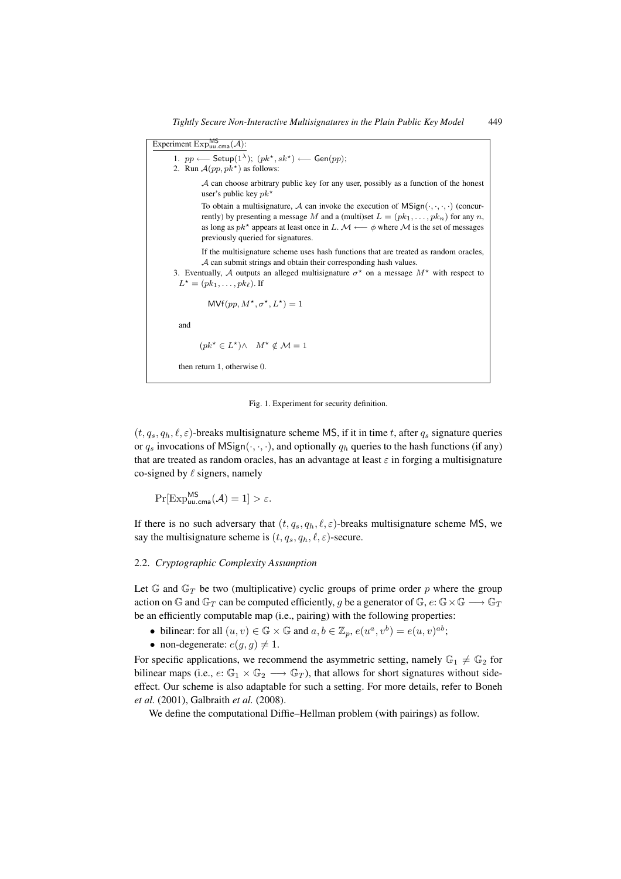| Experiment $Exp_{uu,cma}^{\text{MS}}(\mathcal{A})$ :                                                                                                                                                                                                                                                                                                            |
|-----------------------------------------------------------------------------------------------------------------------------------------------------------------------------------------------------------------------------------------------------------------------------------------------------------------------------------------------------------------|
| 1. $pp \longleftarrow$ Setup $(1^{\lambda})$ ; $(pk^{\star}, sk^{\star}) \longleftarrow$ Gen $(pp)$ ;<br>2. Run $A(pp, pk^*)$ as follows:                                                                                                                                                                                                                       |
| $A$ can choose arbitrary public key for any user, possibly as a function of the honest<br>user's public key $pk^*$                                                                                                                                                                                                                                              |
| To obtain a multisignature, A can invoke the execution of $MSign(\cdot, \cdot, \cdot)$ (concur-<br>rently) by presenting a message M and a (multi)set $L = (pk_1, \ldots, pk_n)$ for any n,<br>as long as $pk^*$ appears at least once in L. $\mathcal{M} \longleftarrow \phi$ where $\mathcal{M}$ is the set of messages<br>previously queried for signatures. |
| If the multisignature scheme uses hash functions that are treated as random oracles,<br>$A$ can submit strings and obtain their corresponding hash values.<br>3. Eventually, A outputs an alleged multisignature $\sigma^*$ on a message $M^*$ with respect to<br>$L^* = (pk_1, \ldots, pk_\ell)$ . If                                                          |
| $\mathsf{MVf}(pp, M^\star, \sigma^\star, L^\star) = 1$                                                                                                                                                                                                                                                                                                          |
| and                                                                                                                                                                                                                                                                                                                                                             |
| $(pk^* \in L^*) \wedge M^* \notin \mathcal{M} = 1$                                                                                                                                                                                                                                                                                                              |
| then return 1, otherwise 0.                                                                                                                                                                                                                                                                                                                                     |

Fig. 1. Experiment for security definition.

 $(t, q_s, q_h, \ell, \varepsilon)$ -breaks multisignature scheme MS, if it in time t, after  $q_s$  signature queries or  $q_s$  invocations of MSign( $\cdot, \cdot, \cdot$ ), and optionally  $q_h$  queries to the hash functions (if any) that are treated as random oracles, has an advantage at least  $\varepsilon$  in forging a multisignature co-signed by  $\ell$  signers, namely

 $\Pr[\mathrm{Exp}_{\mathsf{uu}.\mathsf{cma}}^{\mathsf{MS}}(\mathcal{A})=1] > \varepsilon.$ 

If there is no such adversary that  $(t, q_s, q_h, \ell, \varepsilon)$ -breaks multisignature scheme MS, we say the multisignature scheme is  $(t, q_s, q_h, \ell, \varepsilon)$ -secure.

# 2.2. *Cryptographic Complexity Assumption*

Let  $\mathbb{G}$  and  $\mathbb{G}_T$  be two (multiplicative) cyclic groups of prime order p where the group action on G and  $\mathbb{G}_T$  can be computed efficiently, g be a generator of  $\mathbb{G}$ ,  $e: \mathbb{G} \times \mathbb{G} \longrightarrow \mathbb{G}_T$ be an efficiently computable map (i.e., pairing) with the following properties:

- bilinear: for all  $(u, v) \in \mathbb{G} \times \mathbb{G}$  and  $a, b \in \mathbb{Z}_p$ ,  $e(u^a, v^b) = e(u, v)^{ab}$ ;
- non-degenerate:  $e(g, g) \neq 1$ .

For specific applications, we recommend the asymmetric setting, namely  $\mathbb{G}_1 \neq \mathbb{G}_2$  for bilinear maps (i.e.,  $e: \mathbb{G}_1 \times \mathbb{G}_2 \longrightarrow \mathbb{G}_T$ ), that allows for short signatures without sideeffect. Our scheme is also adaptable for such a setting. For more details, refer to Boneh *et al.* (2001), Galbraith *et al.* (2008).

We define the computational Diffie–Hellman problem (with pairings) as follow.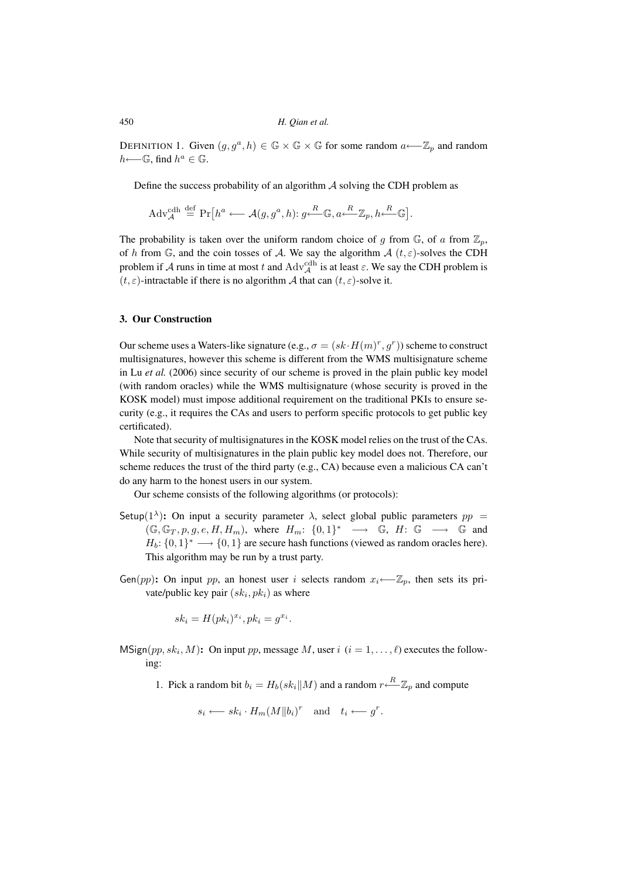DEFINITION 1. Given  $(g, g^a, h) \in \mathbb{G} \times \mathbb{G} \times \mathbb{G}$  for some random  $a \leftarrow \mathbb{Z}_p$  and random  $h$ ← $\mathbb{G}$ , find  $h^a \in \mathbb{G}$ .

Define the success probability of an algorithm  $A$  solving the CDH problem as

$$
\mathrm{Adv}_{\mathcal{A}}^{\mathrm{cdh}} \stackrel{\mathrm{def}}{=} \mathrm{Pr}\big[h^a \longleftarrow \mathcal{A}(g, g^a, h); g \xleftarrow{R} \mathbb{G}, a \xleftarrow{R} \mathbb{Z}_p, h \xleftarrow{R} \mathbb{G}\big].
$$

The probability is taken over the uniform random choice of g from  $\mathbb{G}$ , of a from  $\mathbb{Z}_p$ , of h from G, and the coin tosses of A. We say the algorithm  $A(t, \varepsilon)$ -solves the CDH problem if A runs in time at most t and  $\text{Adv}_{\mathcal{A}}^{\text{cdh}}$  is at least  $\varepsilon$ . We say the CDH problem is  $(t, \varepsilon)$ -intractable if there is no algorithm A that can  $(t, \varepsilon)$ -solve it.

# **3. Our Construction**

Our scheme uses a Waters-like signature (e.g.,  $\sigma = (sk \cdot H(m)^r, g^r)$ ) scheme to construct multisignatures, however this scheme is different from the WMS multisignature scheme in Lu *et al.* (2006) since security of our scheme is proved in the plain public key model (with random oracles) while the WMS multisignature (whose security is proved in the KOSK model) must impose additional requirement on the traditional PKIs to ensure security (e.g., it requires the CAs and users to perform specific protocols to get public key certificated).

Note that security of multisignatures in the KOSK model relies on the trust of the CAs. While security of multisignatures in the plain public key model does not. Therefore, our scheme reduces the trust of the third party (e.g., CA) because even a malicious CA can't do any harm to the honest users in our system.

Our scheme consists of the following algorithms (or protocols):

- Setup(1<sup> $\lambda$ </sup>): On input a security parameter  $\lambda$ , select global public parameters  $pp =$  $(\mathbb{G}, \mathbb{G}_T, p, g, e, H, H_m)$ , where  $H_m: \{0,1\}^* \longrightarrow \mathbb{G}$ ,  $H: \mathbb{G} \longrightarrow \mathbb{G}$  and  $H_b: \{0, 1\}^* \longrightarrow \{0, 1\}$  are secure hash functions (viewed as random oracles here). This algorithm may be run by a trust party.
- Gen(pp): On input pp, an honest user i selects random  $x_i \leftarrow Z_p$ , then sets its private/public key pair  $(sk<sub>i</sub>, pk<sub>i</sub>)$  as where

$$
sk_i = H(pk_i)^{x_i}, pk_i = g^{x_i}.
$$

 $MSign(pp, sk<sub>i</sub>, M):$  On input pp, message M, user i  $(i = 1, ..., \ell)$  executes the following:

1. Pick a random bit  $b_i = H_b(s k_i || M)$  and a random  $r \stackrel{R}{\leftarrow} \mathbb{Z}_p$  and compute

$$
s_i \longleftarrow sk_i \cdot H_m(M||b_i)^r \quad \text{and} \quad t_i \longleftarrow g^r.
$$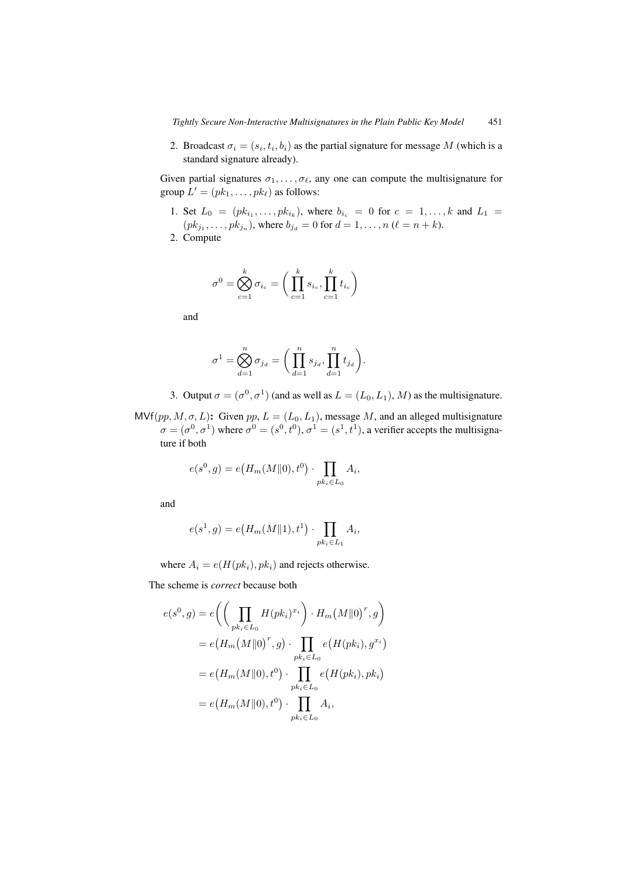2. Broadcast  $\sigma_i = (s_i, t_i, b_i)$  as the partial signature for message M (which is a standard signature already).

Given partial signatures  $\sigma_1, \ldots, \sigma_\ell$ , any one can compute the multisignature for group  $L' = (pk_1, \ldots, pk_\ell)$  as follows:

- 1. Set  $L_0 = (pk_{i_1}, \ldots, pk_{i_k})$ , where  $b_{i_c} = 0$  for  $c = 1, \ldots, k$  and  $L_1 =$  $(pk_{j_1}, \ldots, pk_{j_n})$ , where  $b_{j_d} = 0$  for  $d = 1, \ldots, n$  ( $\ell = n + k$ ).
- 2. Compute

$$
\sigma^{0} = \bigotimes_{c=1}^{k} \sigma_{i_c} = \bigg(\prod_{c=1}^{k} s_{i_c}, \prod_{c=1}^{k} t_{i_c}\bigg)
$$

and

$$
\sigma^1 = \bigotimes_{d=1}^n \sigma_{j_d} = \bigg(\prod_{d=1}^n s_{j_d}, \prod_{d=1}^n t_{j_d}\bigg).
$$

3. Output  $\sigma = (\sigma^0, \sigma^1)$  (and as well as  $L = (L_0, L_1)$ , M) as the multisignature.

 $\text{MVf}(pp, M, \sigma, L)$ : Given pp,  $L = (L_0, L_1)$ , message M, and an alleged multisignature  $\sigma = (\sigma^0, \sigma^1)$  where  $\sigma^0 = (s^0, t^0), \sigma^1 = (s^1, t^1)$ , a verifier accepts the multisignature if both

$$
e(s^{0}, g) = e(H_m(M||0), t^{0}) \cdot \prod_{pk_i \in L_0} A_i,
$$

and

$$
e(s^1, g) = e(H_m(M||1), t^1) \cdot \prod_{pk_i \in L_1} A_i,
$$

where  $A_i = e(H(pk_i), pk_i)$  and rejects otherwise.

The scheme is *correct* because both

$$
e(s^{0}, g) = e\left(\left(\prod_{pk_{i} \in L_{0}} H(pk_{i})^{x_{i}}\right) \cdot H_{m}(M||0)^{r}, g\right)
$$
  

$$
= e\left(H_{m}(M||0)^{r}, g\right) \cdot \prod_{pk_{i} \in L_{0}} e\left(H(pk_{i}), g^{x_{i}}\right)
$$
  

$$
= e\left(H_{m}(M||0), t^{0}\right) \cdot \prod_{pk_{i} \in L_{0}} e\left(H(pk_{i}), pk_{i}\right)
$$
  

$$
= e\left(H_{m}(M||0), t^{0}\right) \cdot \prod_{pk_{i} \in L_{0}} A_{i},
$$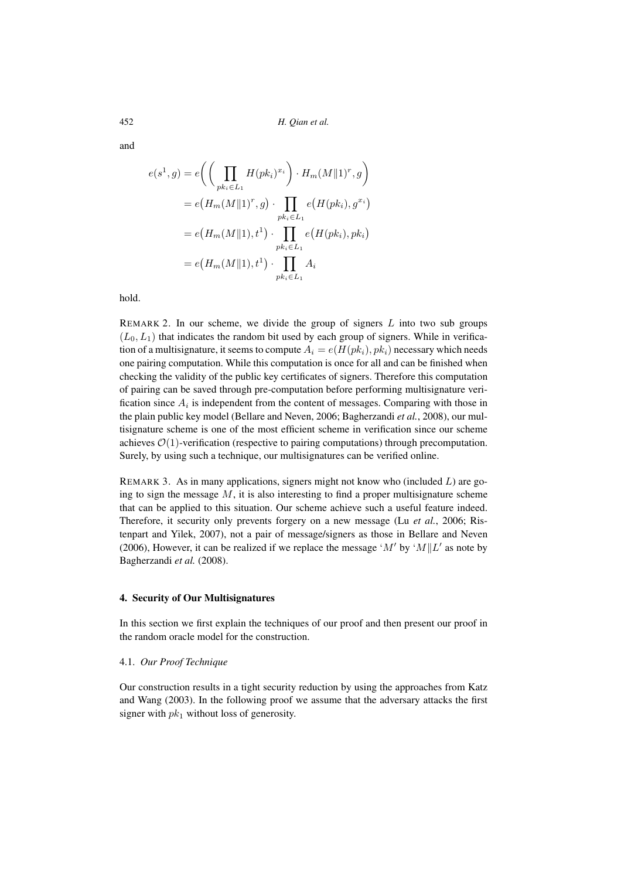and

$$
e(s^1, g) = e\left(\left(\prod_{pk_i \in L_1} H(pk_i)^{x_i}\right) \cdot H_m(M||1)^r, g\right)
$$
  
=  $e\left(H_m(M||1)^r, g\right) \cdot \prod_{pk_i \in L_1} e\left(H(pk_i), g^{x_i}\right)$   
=  $e\left(H_m(M||1), t^1\right) \cdot \prod_{pk_i \in L_1} e\left(H(pk_i), pk_i\right)$   
=  $e\left(H_m(M||1), t^1\right) \cdot \prod_{pk_i \in L_1} A_i$ 

hold.

REMARK 2. In our scheme, we divide the group of signers  $L$  into two sub groups  $(L_0, L_1)$  that indicates the random bit used by each group of signers. While in verification of a multisignature, it seems to compute  $A_i = e(H(pk_i), pk_i)$  necessary which needs one pairing computation. While this computation is once for all and can be finished when checking the validity of the public key certificates of signers. Therefore this computation of pairing can be saved through pre-computation before performing multisignature verification since  $A_i$  is independent from the content of messages. Comparing with those in the plain public key model (Bellare and Neven, 2006; Bagherzandi *et al.*, 2008), our multisignature scheme is one of the most efficient scheme in verification since our scheme achieves  $\mathcal{O}(1)$ -verification (respective to pairing computations) through precomputation. Surely, by using such a technique, our multisignatures can be verified online.

REMARK 3. As in many applications, signers might not know who (included  $L$ ) are going to sign the message  $M$ , it is also interesting to find a proper multisignature scheme that can be applied to this situation. Our scheme achieve such a useful feature indeed. Therefore, it security only prevents forgery on a new message (Lu *et al.*, 2006; Ristenpart and Yilek, 2007), not a pair of message/signers as those in Bellare and Neven (2006), However, it can be realized if we replace the message 'M' by 'M||L' as note by Bagherzandi *et al.* (2008).

## **4. Security of Our Multisignatures**

In this section we first explain the techniques of our proof and then present our proof in the random oracle model for the construction.

# 4.1. *Our Proof Technique*

Our construction results in a tight security reduction by using the approaches from Katz and Wang (2003). In the following proof we assume that the adversary attacks the first signer with  $pk_1$  without loss of generosity.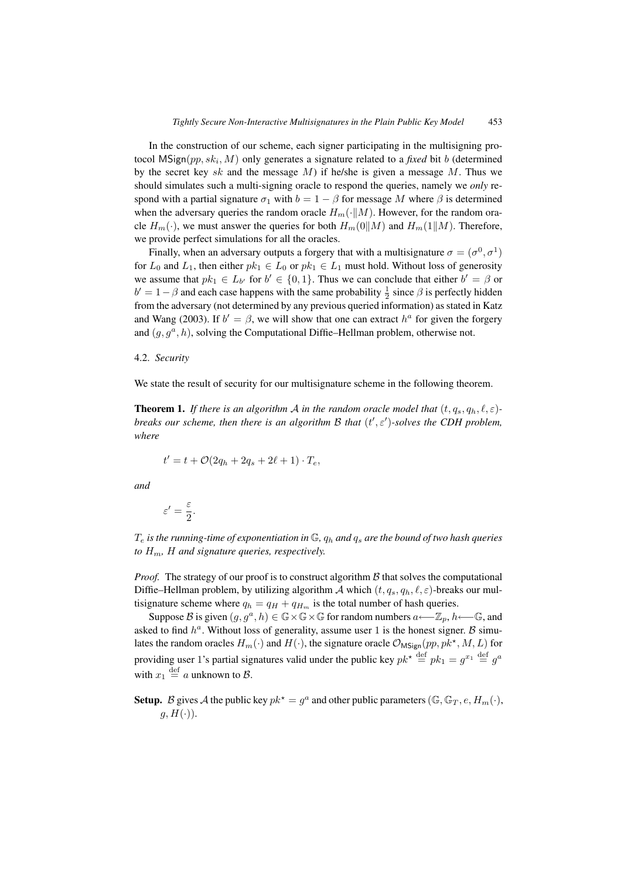In the construction of our scheme, each signer participating in the multisigning protocol  $MSign(pp, sk_i, M)$  only generates a signature related to a *fixed* bit b (determined by the secret key sk and the message  $M$ ) if he/she is given a message  $M$ . Thus we should simulates such a multi-signing oracle to respond the queries, namely we *only* respond with a partial signature  $\sigma_1$  with  $b = 1 - \beta$  for message M where  $\beta$  is determined when the adversary queries the random oracle  $H_m(\cdot||M)$ . However, for the random oracle  $H_m(\cdot)$ , we must answer the queries for both  $H_m(0||M)$  and  $H_m(1||M)$ . Therefore, we provide perfect simulations for all the oracles.

Finally, when an adversary outputs a forgery that with a multisignature  $\sigma = (\sigma^0, \sigma^1)$ for  $L_0$  and  $L_1$ , then either  $pk_1 \in L_0$  or  $pk_1 \in L_1$  must hold. Without loss of generosity we assume that  $pk_1 \in L_{b'}$  for  $b' \in \{0, 1\}$ . Thus we can conclude that either  $b' = \beta$  or  $b' = 1 - \beta$  and each case happens with the same probability  $\frac{1}{2}$  since  $\beta$  is perfectly hidden from the adversary (not determined by any previous queried information) as stated in Katz and Wang (2003). If  $b' = \beta$ , we will show that one can extract  $h^a$  for given the forgery and  $(g, g^a, h)$ , solving the Computational Diffie–Hellman problem, otherwise not.

## 4.2. *Security*

We state the result of security for our multisignature scheme in the following theorem.

**Theorem 1.** If there is an algorithm A in the random oracle model that  $(t, q_s, q_h, \ell, \varepsilon)$ *breaks our scheme, then there is an algorithm B that*  $(t', \varepsilon')$ -solves the CDH problem, *where*

$$
t' = t + \mathcal{O}(2q_h + 2q_s + 2\ell + 1) \cdot T_e,
$$

*and*

$$
\varepsilon'=\frac{\varepsilon}{2}.
$$

 $T_e$  *is the running-time of exponentiation in*  $\mathbb{G}$ *,*  $q_h$  *and*  $q_s$  *are the bound of two hash queries to*  $H_m$ ,  $H$  *and signature queries, respectively.* 

*Proof.* The strategy of our proof is to construct algorithm  $\beta$  that solves the computational Diffie–Hellman problem, by utilizing algorithm  $\mathcal A$  which  $(t, q_s, q_h, \ell, \varepsilon)$ -breaks our multisignature scheme where  $q_h = q_H + q_{H_m}$  is the total number of hash queries.

Suppose B is given  $(g, g^a, h) \in \mathbb{G} \times \mathbb{G} \times \mathbb{G}$  for random numbers  $a \leftarrow \mathbb{Z}_n$ ,  $h \leftarrow \mathbb{G}$ , and asked to find  $h^a$ . Without loss of generality, assume user 1 is the honest signer. B simulates the random oracles  $H_m(\cdot)$  and  $H(\cdot)$ , the signature oracle  $\mathcal{O}_{\text{MSign}}(pp, pk^*, M, L)$  for providing user 1's partial signatures valid under the public key  $pk^* \stackrel{\text{def}}{=} pk_1 = g^{x_1} \stackrel{\text{def}}{=} g^a$ with  $x_1 \stackrel{\text{def}}{=} a$  unknown to  $\mathcal{B}$ .

**Setup.** B gives A the public key  $pk^* = g^a$  and other public parameters (G, G<sub>T</sub>, e, H<sub>m</sub>(·),  $g, H(·)$ ).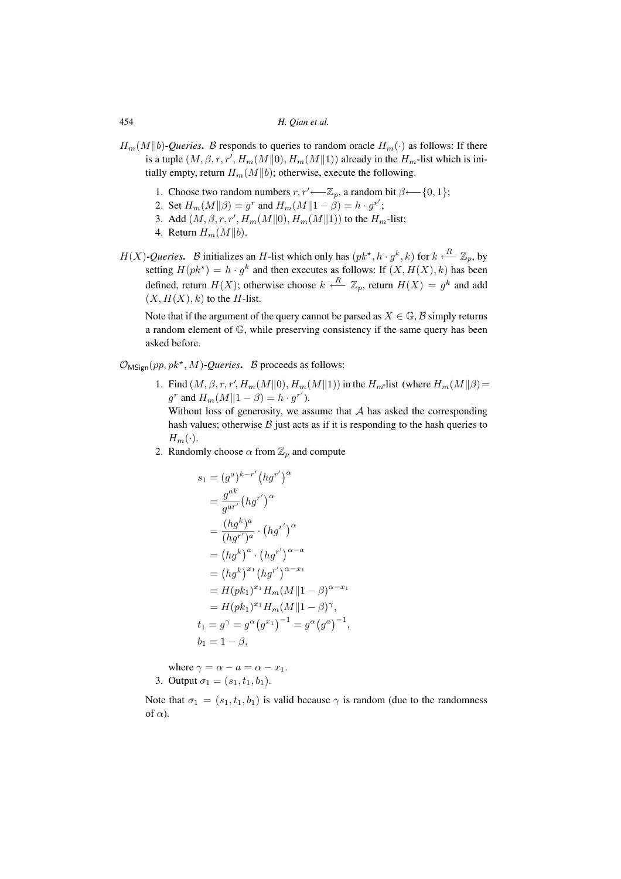- $H_m(M||b)$ **-***Queries*. B responds to queries to random oracle  $H_m(\cdot)$  as follows: If there is a tuple  $(M,\beta,r,r',H_m(M\|0),H_m(M\|1))$  already in the  $H_m$ -list which is initially empty, return  $H_m(M||b)$ ; otherwise, execute the following.
	- 1. Choose two random numbers  $r, r' \longleftarrow \mathbb{Z}_p$ , a random bit  $\beta \longleftarrow \{0, 1\};$
	- 2. Set  $H_m(M||\beta) = g^r$  and  $H_m(M||1 \beta) = h \cdot g^{r'}$ ;
	- 3. Add  $(M, \beta, r, r', H_m(M||0), H_m(M||1))$  to the  $H_m$ -list;
	- 4. Return  $H_m(M||b)$ .
- $H(X)$ -*Queries*. B initializes an H-list which only has  $(pk^{\star}, h \cdot g^{k}, k)$  for  $k \stackrel{R}{\longleftarrow} \mathbb{Z}_p$ , by setting  $H(pk^*) = h \cdot g^k$  and then executes as follows: If  $(X, H(X), k)$  has been defined, return  $H(X)$ ; otherwise choose  $k \stackrel{R}{\longleftarrow} \mathbb{Z}_p$ , return  $H(X) = g^k$  and add  $(X, H(X), k)$  to the H-list.

Note that if the argument of the query cannot be parsed as  $X \in \mathbb{G}$ , B simply returns a random element of G, while preserving consistency if the same query has been asked before.

 $\mathcal{O}_{\text{MSign}}(pp, pk^*, M)$ -*Queries*. *B* proceeds as follows:

1. Find  $(M, \beta, r, r', H_m(M||0), H_m(M||1))$  in the  $H_m$ -list (where  $H_m(M||\beta)$  =  $g^r$  and  $H_m(M||1 - \beta) = h \cdot g^{r'}$ ).

Without loss of generosity, we assume that  $A$  has asked the corresponding hash values; otherwise  $\beta$  just acts as if it is responding to the hash queries to  $H_m(\cdot)$ .

2. Randomly choose  $\alpha$  from  $\mathbb{Z}_p$  and compute

$$
s_1 = (g^a)^{k-r'} (hg^{r'})^{\alpha}
$$
  
\n
$$
= \frac{g^{ak}}{g^{ar'}} (hg^{r'})^{\alpha}
$$
  
\n
$$
= \frac{(hg^k)^a}{(hg^{r'})^a} \cdot (hg^{r'})^{\alpha}
$$
  
\n
$$
= (hg^k)^a \cdot (hg^{r'})^{\alpha-a}
$$
  
\n
$$
= (hg^k)^{x_1} (hg^{r'})^{\alpha-x_1}
$$
  
\n
$$
= H(pk_1)^{x_1} H_m(M \parallel 1 - \beta)^{\alpha-x_1}
$$
  
\n
$$
= H(pk_1)^{x_1} H_m(M \parallel 1 - \beta)^{\gamma},
$$
  
\n
$$
t_1 = g^{\gamma} = g^{\alpha} (g^{x_1})^{-1} = g^{\alpha} (g^a)^{-1},
$$
  
\n
$$
b_1 = 1 - \beta,
$$

where  $\gamma = \alpha - a = \alpha - x_1$ . 3. Output  $\sigma_1 = (s_1, t_1, b_1)$ .

Note that  $\sigma_1 = (s_1, t_1, b_1)$  is valid because  $\gamma$  is random (due to the randomness of  $\alpha$ ).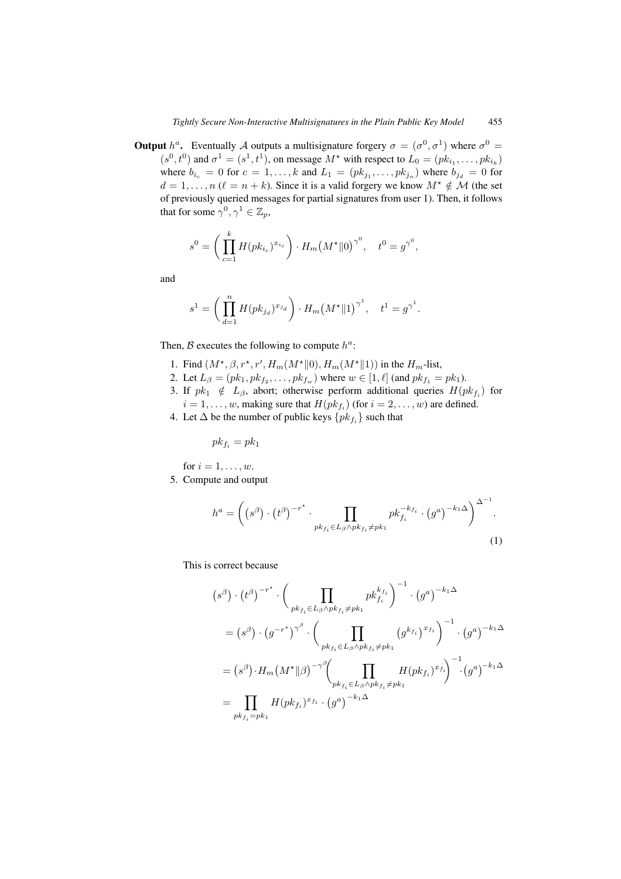**Output**  $h^a$ . Eventually A outputs a multisignature forgery  $\sigma = (\sigma^0, \sigma^1)$  where  $\sigma^0 =$  $(s^0, t^0)$  and  $\sigma^1 = (s^1, t^1)$ , on message  $M^*$  with respect to  $L_0 = (pk_{i_1}, \ldots, pk_{i_k})$ where  $b_{i_c} = 0$  for  $c = 1, \ldots, k$  and  $L_1 = (pk_{j_1}, \ldots, pk_{j_n})$  where  $b_{j_d} = 0$  for  $d = 1, \ldots, n$  ( $\ell = n + k$ ). Since it is a valid forgery we know  $M^* \notin \mathcal{M}$  (the set of previously queried messages for partial signatures from user 1). Then, it follows that for some  $\gamma^0, \gamma^1 \in \mathbb{Z}_p$ ,

$$
s^{0} = \left(\prod_{c=1}^{k} H(pk_{i_c})^{x_{i_c}}\right) \cdot H_m\left(M^{\star} \| 0\right)^{\gamma^0}, \quad t^{0} = g^{\gamma^0},
$$

and

$$
s^{1} = \left(\prod_{d=1}^{n} H(pk_{j_{d}})^{x_{j_{d}}}\right) \cdot H_{m}(M^{\star} \| 1)^{\gamma^{1}}, \quad t^{1} = g^{\gamma^{1}}.
$$

Then, B executes the following to compute  $h^a$ :

- 1. Find  $(M^*, \beta, r^*, r', H_m(M^* \| 0), H_m(M^* \| 1))$  in the  $H_m$ -list,
- 2. Let  $L_{\beta} = (pk_1, pk_{f_2}, \dots, pk_{f_w})$  where  $w \in [1, \ell]$  (and  $pk_{f_1} = pk_1$ ).
- 3. If  $pk_1 \notin L_\beta$ , abort; otherwise perform additional queries  $H(pk_{f_i})$  for  $i = 1, \ldots, w$ , making sure that  $H(pk_{f_i})$  (for  $i = 2, \ldots, w$ ) are defined.
- 4. Let  $\Delta$  be the number of public keys  $\{pk_{f_i}\}\$  such that

$$
pk_{f_i} = pk_1
$$

for  $i = 1, \ldots, w$ .

5. Compute and output

$$
h^{a} = \left( \left( s^{\beta} \right) \cdot \left( t^{\beta} \right)^{-r^{*}} \cdot \prod_{pk_{f_{i}} \in L_{\beta} \wedge pk_{f_{i}} \neq pk_{1}} pk_{f_{i}}^{-k_{f_{i}}} \cdot \left( g^{a} \right)^{-k_{1} \Delta} \right)^{\Delta^{-1}}.
$$
\n(1)

This is correct because

$$
(s^{\beta}) \cdot (t^{\beta})^{-r^{*}} \cdot \left(\prod_{pk_{f_i} \in L_{\beta} \wedge pk_{f_i} \neq pk_1} pk_{f_i}^{k_{f_i}}\right)^{-1} \cdot (g^a)^{-k_1 \Delta}
$$
  

$$
= (s^{\beta}) \cdot (g^{-r^{*}})^{\gamma^{\beta}} \cdot \left(\prod_{pk_{f_i} \in L_{\beta} \wedge pk_{f_i} \neq pk_1} (g^{k_{f_i}})^{x_{f_i}}\right)^{-1} \cdot (g^a)^{-k_1 \Delta}
$$
  

$$
= (s^{\beta}) \cdot H_m(M^* \parallel \beta)^{-\gamma^{\beta}} \left(\prod_{pk_{f_i} \in L_{\beta} \wedge pk_{f_i} \neq pk_1} H(pk_{f_i})^{x_{f_i}}\right)^{-1} \cdot (g^a)^{-k_1 \Delta}
$$
  

$$
= \prod_{pk_{f_i} = pk_1} H(pk_{f_i})^{x_{f_i}} \cdot (g^a)^{-k_1 \Delta}
$$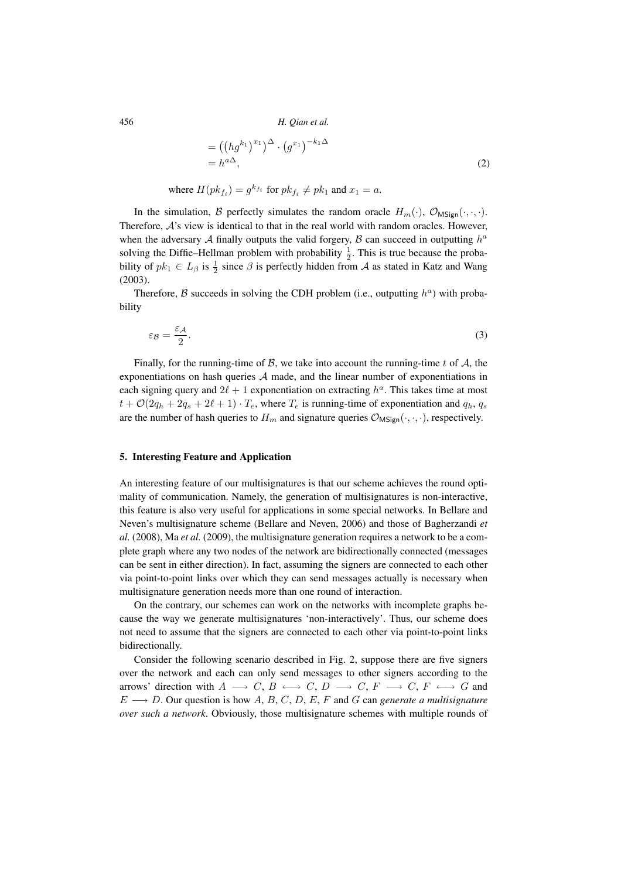$$
= ((hg^{k_1})^{x_1})^{\Delta} \cdot (g^{x_1})^{-k_1 \Delta}
$$
  
=  $h^{a\Delta}$ , (2)

where  $H(pk_{f_i}) = g^{kf_i}$  for  $pk_{f_i} \neq pk_1$  and  $x_1 = a$ .

In the simulation, B perfectly simulates the random oracle  $H_m(\cdot)$ ,  $\mathcal{O}_{\mathsf{MS}(m)}(\cdot, \cdot, \cdot)$ . Therefore,  $A$ 's view is identical to that in the real world with random oracles. However, when the adversary A finally outputs the valid forgery,  $\beta$  can succeed in outputting  $h^a$ solving the Diffie–Hellman problem with probability  $\frac{1}{2}$ . This is true because the probability of  $pk_1 \in L_\beta$  is  $\frac{1}{2}$  since  $\beta$  is perfectly hidden from A as stated in Katz and Wang (2003).

Therefore, B succeeds in solving the CDH problem (i.e., outputting  $h^a$ ) with probability

$$
\varepsilon_{\mathcal{B}} = \frac{\varepsilon_{\mathcal{A}}}{2}.\tag{3}
$$

Finally, for the running-time of B, we take into account the running-time t of A, the exponentiations on hash queries  $A$  made, and the linear number of exponentiations in each signing query and  $2\ell + 1$  exponentiation on extracting  $h^a$ . This takes time at most  $t + \mathcal{O}(2q_h + 2q_s + 2\ell + 1) \cdot T_e$ , where  $T_e$  is running-time of exponentiation and  $q_h$ ,  $q_s$ are the number of hash queries to  $H_m$  and signature queries  $\mathcal{O}_{MSign}(\cdot, \cdot, \cdot)$ , respectively.

# **5. Interesting Feature and Application**

An interesting feature of our multisignatures is that our scheme achieves the round optimality of communication. Namely, the generation of multisignatures is non-interactive, this feature is also very useful for applications in some special networks. In Bellare and Neven's multisignature scheme (Bellare and Neven, 2006) and those of Bagherzandi *et al.* (2008), Ma *et al.* (2009), the multisignature generation requires a network to be a complete graph where any two nodes of the network are bidirectionally connected (messages can be sent in either direction). In fact, assuming the signers are connected to each other via point-to-point links over which they can send messages actually is necessary when multisignature generation needs more than one round of interaction.

On the contrary, our schemes can work on the networks with incomplete graphs because the way we generate multisignatures 'non-interactively'. Thus, our scheme does not need to assume that the signers are connected to each other via point-to-point links bidirectionally.

Consider the following scenario described in Fig. 2, suppose there are five signers over the network and each can only send messages to other signers according to the arrows' direction with  $A \longrightarrow C, B \longleftrightarrow C, D \longrightarrow C, F \longrightarrow C, F \longleftrightarrow G$  and  $E \longrightarrow D$ . Our question is how A, B, C, D, E, F and G can *generate a multisignature over such a network*. Obviously, those multisignature schemes with multiple rounds of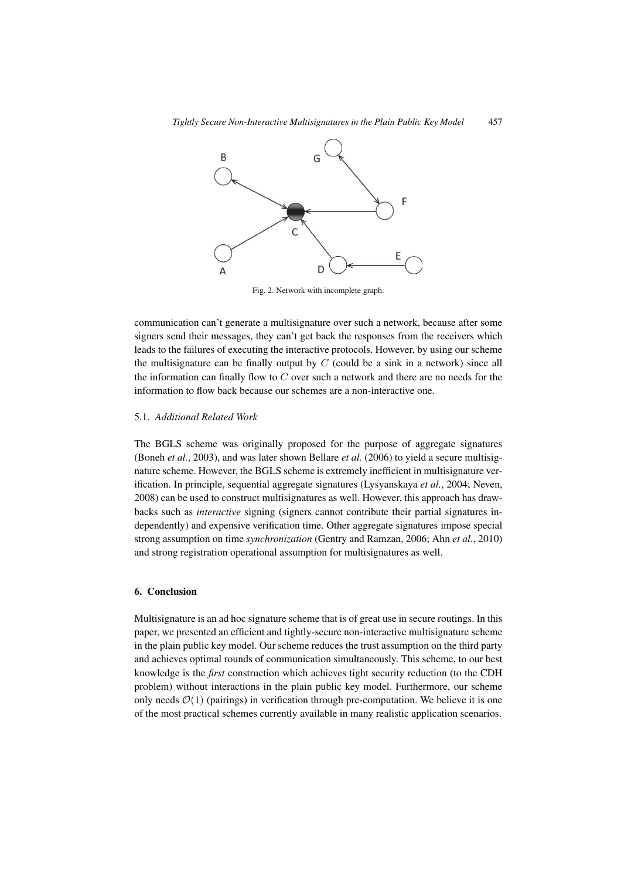

Fig. 2. Network with incomplete graph.

communication can't generate a multisignature over such a network, because after some signers send their messages, they can't get back the responses from the receivers which leads to the failures of executing the interactive protocols. However, by using our scheme the multisignature can be finally output by  $C$  (could be a sink in a network) since all the information can finally flow to  $C$  over such a network and there are no needs for the information to flow back because our schemes are a non-interactive one.

# 5.1. *Additional Related Work*

The BGLS scheme was originally proposed for the purpose of aggregate signatures (Boneh *et al.*, 2003), and was later shown Bellare *et al.* (2006) to yield a secure multisignature scheme. However, the BGLS scheme is extremely inefficient in multisignature verification. In principle, sequential aggregate signatures (Lysyanskaya *et al.*, 2004; Neven, 2008) can be used to construct multisignatures as well. However, this approach has drawbacks such as *interactive* signing (signers cannot contribute their partial signatures independently) and expensive verification time. Other aggregate signatures impose special strong assumption on time *synchronization* (Gentry and Ramzan, 2006; Ahn *et al.*, 2010) and strong registration operational assumption for multisignatures as well.

# **6. Conclusion**

Multisignature is an ad hoc signature scheme that is of great use in secure routings. In this paper, we presented an efficient and tightly-secure non-interactive multisignature scheme in the plain public key model. Our scheme reduces the trust assumption on the third party and achieves optimal rounds of communication simultaneously. This scheme, to our best knowledge is the *first* construction which achieves tight security reduction (to the CDH problem) without interactions in the plain public key model. Furthermore, our scheme only needs  $\mathcal{O}(1)$  (pairings) in verification through pre-computation. We believe it is one of the most practical schemes currently available in many realistic application scenarios.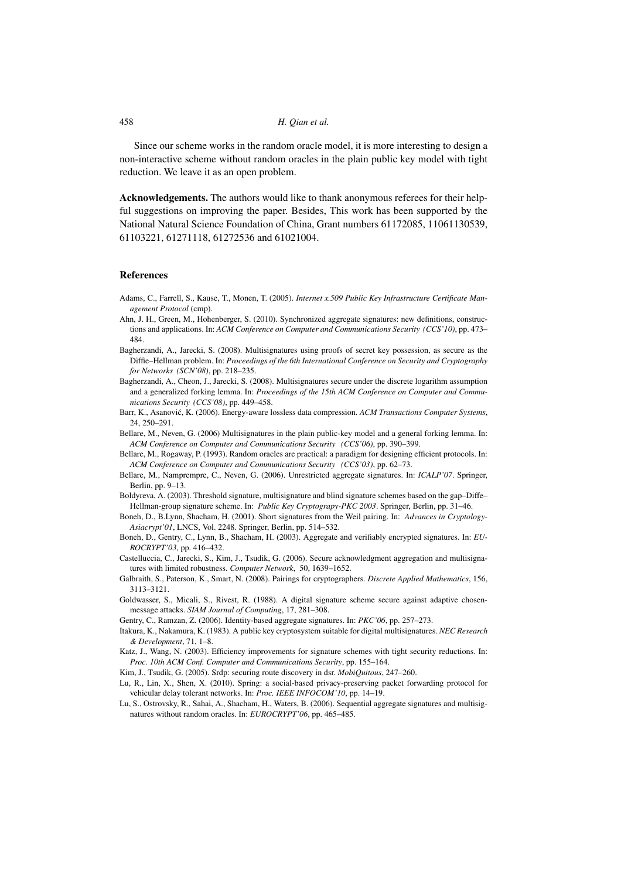Since our scheme works in the random oracle model, it is more interesting to design a non-interactive scheme without random oracles in the plain public key model with tight reduction. We leave it as an open problem.

**Acknowledgements.** The authors would like to thank anonymous referees for their helpful suggestions on improving the paper. Besides, This work has been supported by the National Natural Science Foundation of China, Grant numbers 61172085, 11061130539, 61103221, 61271118, 61272536 and 61021004.

#### **References**

- Adams, C., Farrell, S., Kause, T., Monen, T. (2005). *Internet x.509 Public Key Infrastructure Certificate Management Protocol* (cmp).
- Ahn, J. H., Green, M., Hohenberger, S. (2010). Synchronized aggregate signatures: new definitions, constructions and applications. In: *ACM Conference on Computer and Communications Security (CCS'10)*, pp. 473– 484.
- Bagherzandi, A., Jarecki, S. (2008). Multisignatures using proofs of secret key possession, as secure as the Diffie–Hellman problem. In: *Proceedings of the 6th International Conference on Security and Cryptography for Networks (SCN'08)*, pp. 218–235.
- Bagherzandi, A., Cheon, J., Jarecki, S. (2008). Multisignatures secure under the discrete logarithm assumption and a generalized forking lemma. In: *Proceedings of the 15th ACM Conference on Computer and Communications Security (CCS'08)*, pp. 449–458.
- Barr, K., Asanović, K. (2006). Energy-aware lossless data compression. ACM Transactions Computer Systems, 24, 250–291.
- Bellare, M., Neven, G. (2006) Multisignatures in the plain public-key model and a general forking lemma. In: *ACM Conference on Computer and Communications Security (CCS'06)*, pp. 390–399.
- Bellare, M., Rogaway, P. (1993). Random oracles are practical: a paradigm for designing efficient protocols. In: *ACM Conference on Computer and Communications Security (CCS'03)*, pp. 62–73.
- Bellare, M., Namprempre, C., Neven, G. (2006). Unrestricted aggregate signatures. In: *ICALP'07*. Springer, Berlin, pp. 9–13.
- Boldyreva, A. (2003). Threshold signature, multisignature and blind signature schemes based on the gap–Diffe– Hellman-group signature scheme. In: *Public Key Cryptograpy-PKC 2003*. Springer, Berlin, pp. 31–46.
- Boneh, D., B.Lynn, Shacham, H. (2001). Short signatures from the Weil pairing. In: *Advances in Cryptology-Asiacrypt'01*, LNCS, Vol. 2248. Springer, Berlin, pp. 514–532.
- Boneh, D., Gentry, C., Lynn, B., Shacham, H. (2003). Aggregate and verifiably encrypted signatures. In: *EU-ROCRYPT'03*, pp. 416–432.
- Castelluccia, C., Jarecki, S., Kim, J., Tsudik, G. (2006). Secure acknowledgment aggregation and multisignatures with limited robustness. *Computer Network*, 50, 1639–1652.
- Galbraith, S., Paterson, K., Smart, N. (2008). Pairings for cryptographers. *Discrete Applied Mathematics*, 156, 3113–3121.
- Goldwasser, S., Micali, S., Rivest, R. (1988). A digital signature scheme secure against adaptive chosenmessage attacks. *SIAM Journal of Computing*, 17, 281–308.
- Gentry, C., Ramzan, Z. (2006). Identity-based aggregate signatures. In: *PKC'06*, pp. 257–273.
- Itakura, K., Nakamura, K. (1983). A public key cryptosystem suitable for digital multisignatures. *NEC Research & Development*, 71, 1–8.
- Katz, J., Wang, N. (2003). Efficiency improvements for signature schemes with tight security reductions. In: *Proc. 10th ACM Conf. Computer and Communications Security*, pp. 155–164.
- Kim, J., Tsudik, G. (2005). Srdp: securing route discovery in dsr. *MobiQuitous*, 247–260.
- Lu, R., Lin, X., Shen, X. (2010). Spring: a social-based privacy-preserving packet forwarding protocol for vehicular delay tolerant networks. In: *Proc. IEEE INFOCOM'10*, pp. 14–19.
- Lu, S., Ostrovsky, R., Sahai, A., Shacham, H., Waters, B. (2006). Sequential aggregate signatures and multisignatures without random oracles. In: *EUROCRYPT'06*, pp. 465–485.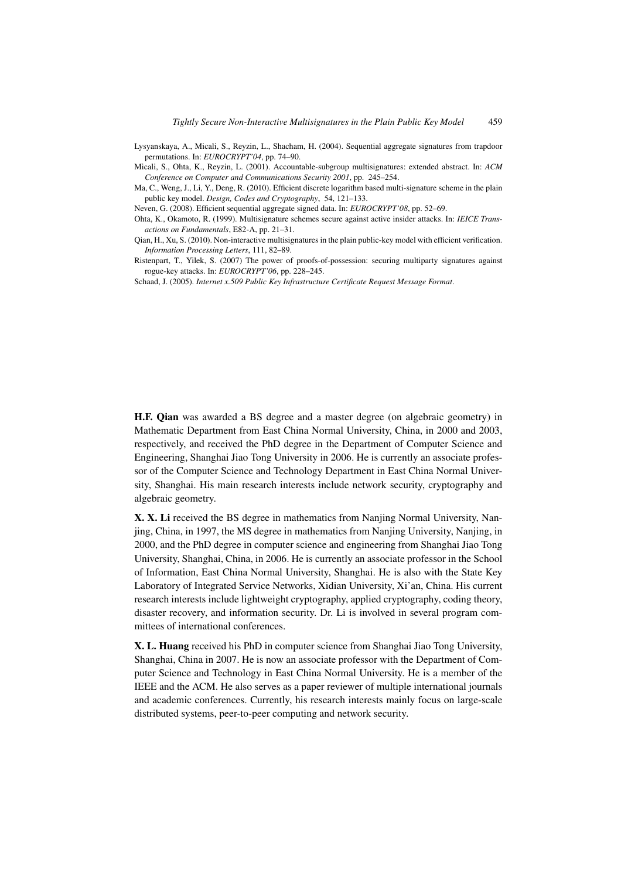- Lysyanskaya, A., Micali, S., Reyzin, L., Shacham, H. (2004). Sequential aggregate signatures from trapdoor permutations. In: *EUROCRYPT'04*, pp. 74–90.
- Micali, S., Ohta, K., Reyzin, L. (2001). Accountable-subgroup multisignatures: extended abstract. In: *ACM Conference on Computer and Communications Security 2001*, pp. 245–254.
- Ma, C., Weng, J., Li, Y., Deng, R. (2010). Efficient discrete logarithm based multi-signature scheme in the plain public key model. *Design, Codes and Cryptography*, 54, 121–133.

Neven, G. (2008). Efficient sequential aggregate signed data. In: *EUROCRYPT'08*, pp. 52–69.

Ohta, K., Okamoto, R. (1999). Multisignature schemes secure against active insider attacks. In: *IEICE Transactions on Fundamentals*, E82-A, pp. 21–31.

Qian, H., Xu, S. (2010). Non-interactive multisignatures in the plain public-key model with efficient verification. *Information Processing Letters*, 111, 82–89.

Ristenpart, T., Yilek, S. (2007) The power of proofs-of-possession: securing multiparty signatures against rogue-key attacks. In: *EUROCRYPT'06*, pp. 228–245.

Schaad, J. (2005). *Internet x.509 Public Key Infrastructure Certificate Request Message Format*.

**H.F. Qian** was awarded a BS degree and a master degree (on algebraic geometry) in Mathematic Department from East China Normal University, China, in 2000 and 2003, respectively, and received the PhD degree in the Department of Computer Science and Engineering, Shanghai Jiao Tong University in 2006. He is currently an associate professor of the Computer Science and Technology Department in East China Normal University, Shanghai. His main research interests include network security, cryptography and algebraic geometry.

**X. X. Li** received the BS degree in mathematics from Nanjing Normal University, Nanjing, China, in 1997, the MS degree in mathematics from Nanjing University, Nanjing, in 2000, and the PhD degree in computer science and engineering from Shanghai Jiao Tong University, Shanghai, China, in 2006. He is currently an associate professor in the School of Information, East China Normal University, Shanghai. He is also with the State Key Laboratory of Integrated Service Networks, Xidian University, Xi'an, China. His current research interests include lightweight cryptography, applied cryptography, coding theory, disaster recovery, and information security. Dr. Li is involved in several program committees of international conferences.

**X. L. Huang** received his PhD in computer science from Shanghai Jiao Tong University, Shanghai, China in 2007. He is now an associate professor with the Department of Computer Science and Technology in East China Normal University. He is a member of the IEEE and the ACM. He also serves as a paper reviewer of multiple international journals and academic conferences. Currently, his research interests mainly focus on large-scale distributed systems, peer-to-peer computing and network security.